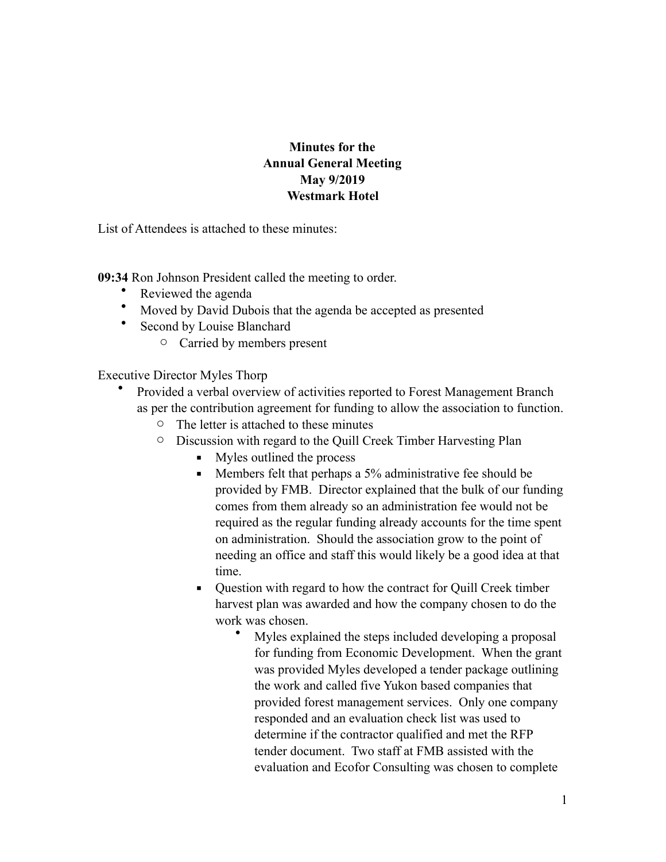## **Minutes for the Annual General Meeting May 9/2019 Westmark Hotel**

List of Attendees is attached to these minutes:

**09:34** Ron Johnson President called the meeting to order.

- Reviewed the agenda
- Moved by David Dubois that the agenda be accepted as presented
- Second by Louise Blanchard
	- o Carried by members present

Executive Director Myles Thorp

- Provided a verbal overview of activities reported to Forest Management Branch as per the contribution agreement for funding to allow the association to function.
	- o The letter is attached to these minutes
	- o Discussion with regard to the Quill Creek Timber Harvesting Plan
		- Myles outlined the process
		- Members felt that perhaps a 5% administrative fee should be provided by FMB. Director explained that the bulk of our funding comes from them already so an administration fee would not be required as the regular funding already accounts for the time spent on administration. Should the association grow to the point of needing an office and staff this would likely be a good idea at that time.
		- Ouestion with regard to how the contract for Quill Creek timber harvest plan was awarded and how the company chosen to do the work was chosen.
			- Myles explained the steps included developing a proposal for funding from Economic Development. When the grant was provided Myles developed a tender package outlining the work and called five Yukon based companies that provided forest management services. Only one company responded and an evaluation check list was used to determine if the contractor qualified and met the RFP tender document. Two staff at FMB assisted with the evaluation and Ecofor Consulting was chosen to complete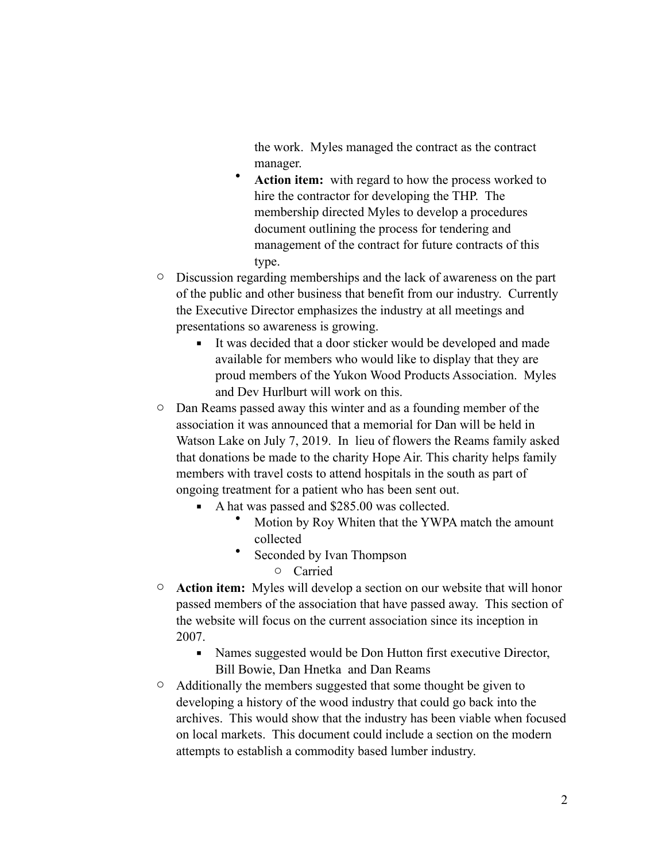the work. Myles managed the contract as the contract manager.

- Action item: with regard to how the process worked to hire the contractor for developing the THP. The membership directed Myles to develop a procedures document outlining the process for tendering and management of the contract for future contracts of this type.
- o Discussion regarding memberships and the lack of awareness on the part of the public and other business that benefit from our industry. Currently the Executive Director emphasizes the industry at all meetings and presentations so awareness is growing.
	- It was decided that a door sticker would be developed and made available for members who would like to display that they are proud members of the Yukon Wood Products Association. Myles and Dev Hurlburt will work on this.
- o Dan Reams passed away this winter and as a founding member of the association it was announced that a memorial for Dan will be held in Watson Lake on July 7, 2019. In lieu of flowers the Reams family asked that donations be made to the charity Hope Air. This charity helps family members with travel costs to attend hospitals in the south as part of ongoing treatment for a patient who has been sent out.
	- A hat was passed and \$285.00 was collected.
		- Motion by Roy Whiten that the YWPA match the amount collected
		- Seconded by Ivan Thompson
			- o Carried
- o **Action item:** Myles will develop a section on our website that will honor passed members of the association that have passed away. This section of the website will focus on the current association since its inception in 2007.
	- Names suggested would be Don Hutton first executive Director, Bill Bowie, Dan Hnetka and Dan Reams
- $\circ$  Additionally the members suggested that some thought be given to developing a history of the wood industry that could go back into the archives. This would show that the industry has been viable when focused on local markets. This document could include a section on the modern attempts to establish a commodity based lumber industry.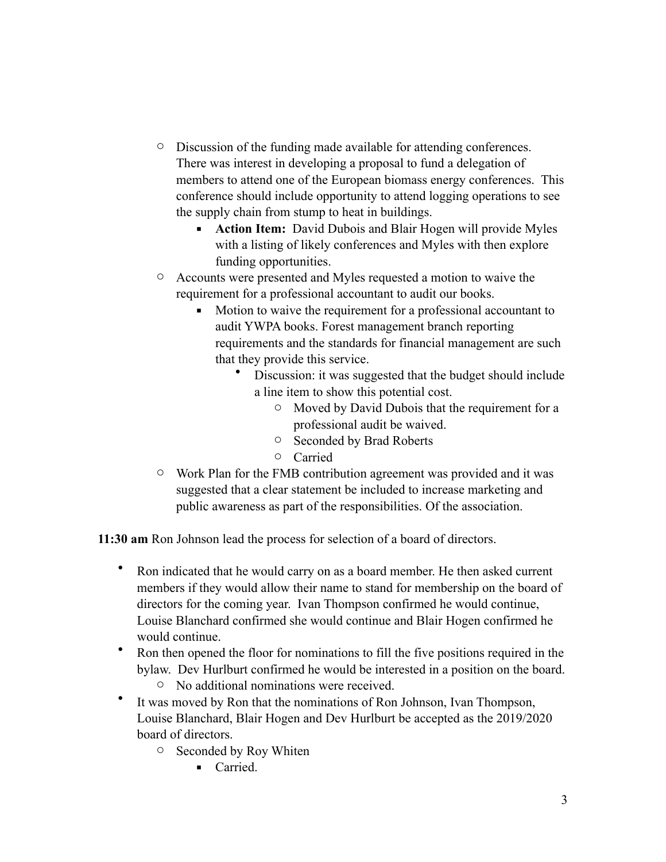- o Discussion of the funding made available for attending conferences. There was interest in developing a proposal to fund a delegation of members to attend one of the European biomass energy conferences. This conference should include opportunity to attend logging operations to see the supply chain from stump to heat in buildings.
	- **EXECT** Action Item: David Dubois and Blair Hogen will provide Myles with a listing of likely conferences and Myles with then explore funding opportunities.
- o Accounts were presented and Myles requested a motion to waive the requirement for a professional accountant to audit our books.
	- Motion to waive the requirement for a professional accountant to audit YWPA books. Forest management branch reporting requirements and the standards for financial management are such that they provide this service.
		- Discussion: it was suggested that the budget should include a line item to show this potential cost.
			- o Moved by David Dubois that the requirement for a professional audit be waived.
			- o Seconded by Brad Roberts
			- o Carried
- o Work Plan for the FMB contribution agreement was provided and it was suggested that a clear statement be included to increase marketing and public awareness as part of the responsibilities. Of the association.

**11:30 am** Ron Johnson lead the process for selection of a board of directors.

- Ron indicated that he would carry on as a board member. He then asked current members if they would allow their name to stand for membership on the board of directors for the coming year. Ivan Thompson confirmed he would continue, Louise Blanchard confirmed she would continue and Blair Hogen confirmed he would continue.
- Ron then opened the floor for nominations to fill the five positions required in the bylaw. Dev Hurlburt confirmed he would be interested in a position on the board.
	- o No additional nominations were received.
- It was moved by Ron that the nominations of Ron Johnson, Ivan Thompson, Louise Blanchard, Blair Hogen and Dev Hurlburt be accepted as the 2019/2020 board of directors.
	- o Seconded by Roy Whiten
		- Carried.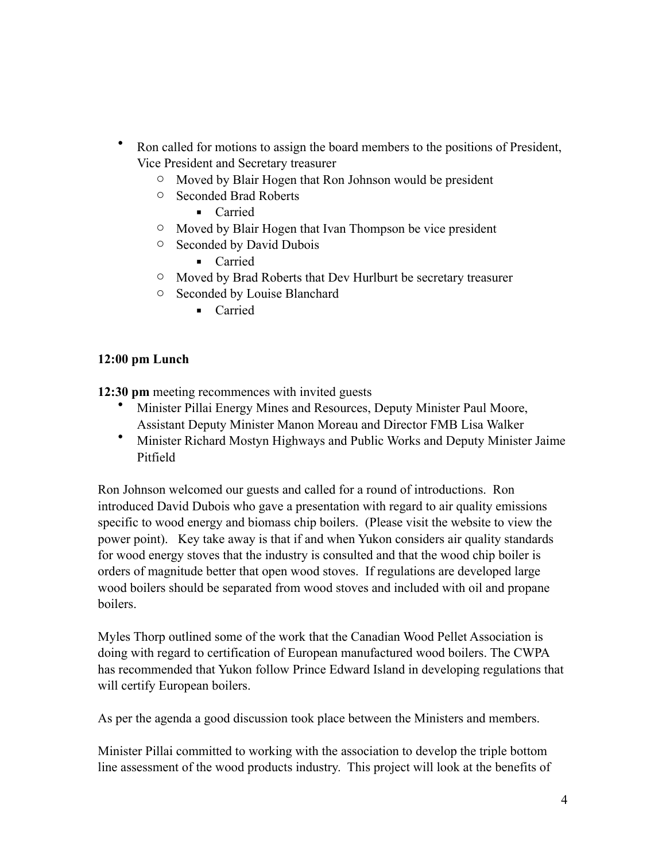- Ron called for motions to assign the board members to the positions of President, Vice President and Secretary treasurer
	- o Moved by Blair Hogen that Ron Johnson would be president
	- o Seconded Brad Roberts
		- Carried
	- o Moved by Blair Hogen that Ivan Thompson be vice president
	- o Seconded by David Dubois
		- Carried
	- o Moved by Brad Roberts that Dev Hurlburt be secretary treasurer
	- o Seconded by Louise Blanchard
		- Carried

## **12:00 pm Lunch**

**12:30 pm** meeting recommences with invited guests

- Minister Pillai Energy Mines and Resources, Deputy Minister Paul Moore, Assistant Deputy Minister Manon Moreau and Director FMB Lisa Walker
- Minister Richard Mostyn Highways and Public Works and Deputy Minister Jaime Pitfield

Ron Johnson welcomed our guests and called for a round of introductions. Ron introduced David Dubois who gave a presentation with regard to air quality emissions specific to wood energy and biomass chip boilers. (Please visit the website to view the power point). Key take away is that if and when Yukon considers air quality standards for wood energy stoves that the industry is consulted and that the wood chip boiler is orders of magnitude better that open wood stoves. If regulations are developed large wood boilers should be separated from wood stoves and included with oil and propane boilers.

Myles Thorp outlined some of the work that the Canadian Wood Pellet Association is doing with regard to certification of European manufactured wood boilers. The CWPA has recommended that Yukon follow Prince Edward Island in developing regulations that will certify European boilers.

As per the agenda a good discussion took place between the Ministers and members.

Minister Pillai committed to working with the association to develop the triple bottom line assessment of the wood products industry. This project will look at the benefits of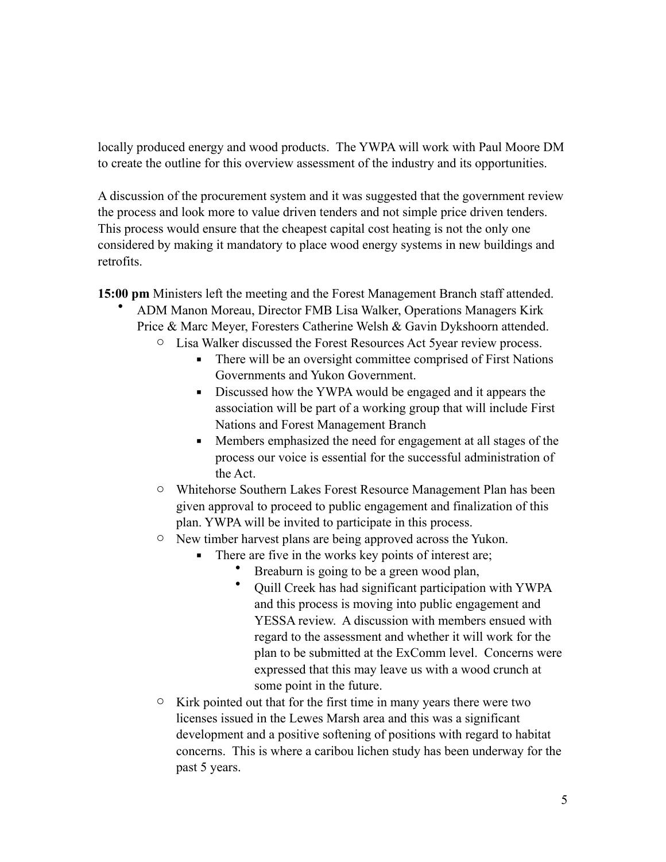locally produced energy and wood products. The YWPA will work with Paul Moore DM to create the outline for this overview assessment of the industry and its opportunities.

A discussion of the procurement system and it was suggested that the government review the process and look more to value driven tenders and not simple price driven tenders. This process would ensure that the cheapest capital cost heating is not the only one considered by making it mandatory to place wood energy systems in new buildings and retrofits.

**15:00 pm** Ministers left the meeting and the Forest Management Branch staff attended.

- ADM Manon Moreau, Director FMB Lisa Walker, Operations Managers Kirk Price & Marc Meyer, Foresters Catherine Welsh & Gavin Dykshoorn attended.
	- o Lisa Walker discussed the Forest Resources Act 5year review process.
		- **•** There will be an oversight committee comprised of First Nations Governments and Yukon Government.
		- **EXECUTE:** Discussed how the YWPA would be engaged and it appears the association will be part of a working group that will include First Nations and Forest Management Branch
		- **•** Members emphasized the need for engagement at all stages of the process our voice is essential for the successful administration of the Act.
	- o Whitehorse Southern Lakes Forest Resource Management Plan has been given approval to proceed to public engagement and finalization of this plan. YWPA will be invited to participate in this process.
	- o New timber harvest plans are being approved across the Yukon.
		- **•** There are five in the works key points of interest are;
			- Breaburn is going to be a green wood plan,
			- Quill Creek has had significant participation with YWPA and this process is moving into public engagement and YESSA review. A discussion with members ensued with regard to the assessment and whether it will work for the plan to be submitted at the ExComm level. Concerns were expressed that this may leave us with a wood crunch at some point in the future.
	- $\circ$  Kirk pointed out that for the first time in many years there were two licenses issued in the Lewes Marsh area and this was a significant development and a positive softening of positions with regard to habitat concerns. This is where a caribou lichen study has been underway for the past 5 years.